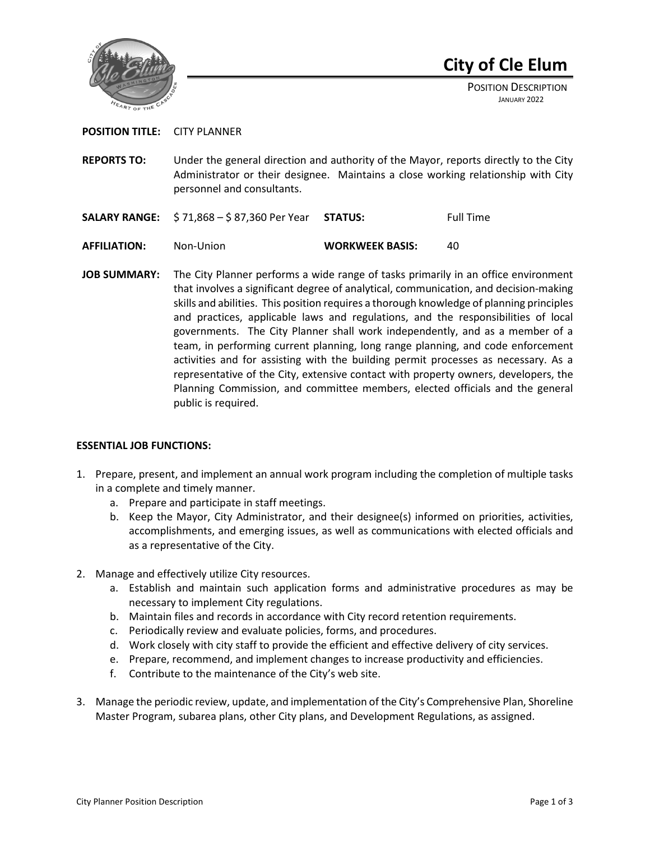

# **City of Cle Elum**

POSITION DESCRIPTION JANUARY 2022

## **POSITION TITLE:** CITY PLANNER

- **REPORTS TO:** Under the general direction and authority of the Mayor, reports directly to the City Administrator or their designee. Maintains a close working relationship with City personnel and consultants.
- **SALARY RANGE:**  $\frac{2}{3}$  71,868  $\frac{2}{3}$  87,360 Per Year **STATUS:** Full Time
- **AFFILIATION:** Non-Union **WORKWEEK BASIS:** 40
- **JOB SUMMARY:** The City Planner performs a wide range of tasks primarily in an office environment that involves a significant degree of analytical, communication, and decision-making skills and abilities. This position requires a thorough knowledge of planning principles and practices, applicable laws and regulations, and the responsibilities of local governments. The City Planner shall work independently, and as a member of a team, in performing current planning, long range planning, and code enforcement activities and for assisting with the building permit processes as necessary. As a representative of the City, extensive contact with property owners, developers, the Planning Commission, and committee members, elected officials and the general public is required.

## **ESSENTIAL JOB FUNCTIONS:**

- 1. Prepare, present, and implement an annual work program including the completion of multiple tasks in a complete and timely manner.
	- a. Prepare and participate in staff meetings.
	- b. Keep the Mayor, City Administrator, and their designee(s) informed on priorities, activities, accomplishments, and emerging issues, as well as communications with elected officials and as a representative of the City.
- 2. Manage and effectively utilize City resources.
	- a. Establish and maintain such application forms and administrative procedures as may be necessary to implement City regulations.
	- b. Maintain files and records in accordance with City record retention requirements.
	- c. Periodically review and evaluate policies, forms, and procedures.
	- d. Work closely with city staff to provide the efficient and effective delivery of city services.
	- e. Prepare, recommend, and implement changes to increase productivity and efficiencies.
	- f. Contribute to the maintenance of the City's web site.
- 3. Manage the periodic review, update, and implementation of the City's Comprehensive Plan, Shoreline Master Program, subarea plans, other City plans, and Development Regulations, as assigned.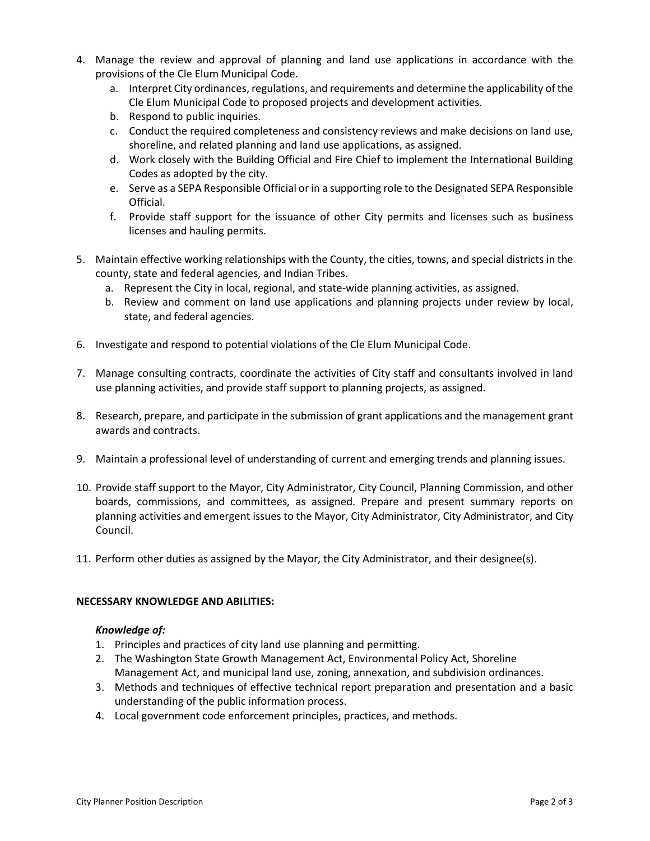- 4. Manage the review and approval of planning and land use applications in accordance with the provisions of the Cle Elum Municipal Code.
	- a. Interpret City ordinances, regulations, and requirements and determine the applicability of the Cle Elum Municipal Code to proposed projects and development activities.
	- b. Respond to public inquiries.
	- c. Conduct the required completeness and consistency reviews and make decisions on land use, shoreline, and related planning and land use applications, as assigned.
	- d. Work closely with the Building Official and Fire Chief to implement the International Building Codes as adopted by the city.
	- e. Serve as a SEPA Responsible Official or in a supporting role to the Designated SEPA Responsible Official.
	- f. Provide staff support for the issuance of other City permits and licenses such as business licenses and hauling permits.
- 5. Maintain effective working relationships with the County, the cities, towns, and special districts in the county, state and federal agencies, and Indian Tribes.
	- a. Represent the City in local, regional, and state-wide planning activities, as assigned.
	- b. Review and comment on land use applications and planning projects under review by local, state, and federal agencies.
- 6. Investigate and respond to potential violations of the Cle Elum Municipal Code.
- 7. Manage consulting contracts, coordinate the activities of City staff and consultants involved in land use planning activities, and provide staff support to planning projects, as assigned.
- 8. Research, prepare, and participate in the submission of grant applications and the management grant awards and contracts.
- 9. Maintain a professional level of understanding of current and emerging trends and planning issues.
- 10. Provide staff support to the Mayor, City Administrator, City Council, Planning Commission, and other boards, commissions, and committees, as assigned. Prepare and present summary reports on planning activities and emergent issues to the Mayor, City Administrator, City Administrator, and City Council.
- 11. Perform other duties as assigned by the Mayor, the City Administrator, and their designee(s).

## **NECESSARY KNOWLEDGE AND ABILITIES:**

## *Knowledge of:*

- 1. Principles and practices of city land use planning and permitting.
- 2. The Washington State Growth Management Act, Environmental Policy Act, Shoreline Management Act, and municipal land use, zoning, annexation, and subdivision ordinances.
- 3. Methods and techniques of effective technical report preparation and presentation and a basic understanding of the public information process.
- 4. Local government code enforcement principles, practices, and methods.